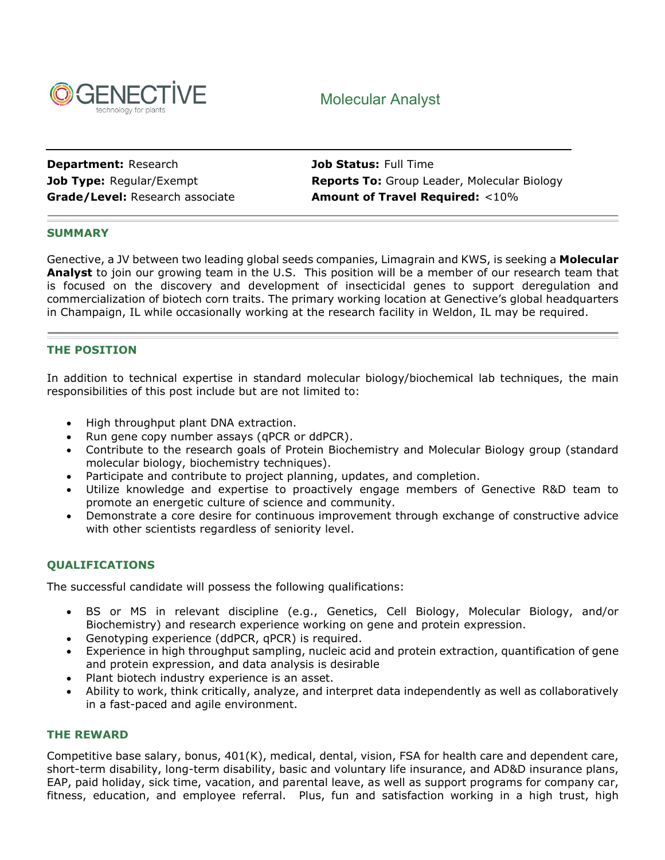

# Molecular Analyst

**Department:** Research **Job Status:** Full Time

**Job Type:** Regular/Exempt **Reports To:** Group Leader, Molecular Biology **Grade/Level:** Research associate **Amount of Travel Required:** <10%

# **SUMMARY**

Genective, a JV between two leading global seeds companies, Limagrain and KWS, is seeking a **Molecular Analyst** to join our growing team in the U.S. This position will be a member of our research team that is focused on the discovery and development of insecticidal genes to support deregulation and commercialization of biotech corn traits. The primary working location at Genective's global headquarters in Champaign, IL while occasionally working at the research facility in Weldon, IL may be required.

# **THE POSITION**

In addition to technical expertise in standard molecular biology/biochemical lab techniques, the main responsibilities of this post include but are not limited to:

- High throughput plant DNA extraction.
- Run gene copy number assays (qPCR or ddPCR).
- Contribute to the research goals of Protein Biochemistry and Molecular Biology group (standard molecular biology, biochemistry techniques).
- Participate and contribute to project planning, updates, and completion.
- Utilize knowledge and expertise to proactively engage members of Genective R&D team to promote an energetic culture of science and community.
- Demonstrate a core desire for continuous improvement through exchange of constructive advice with other scientists regardless of seniority level.

## **QUALIFICATIONS**

The successful candidate will possess the following qualifications:

- BS or MS in relevant discipline (e.g., Genetics, Cell Biology, Molecular Biology, and/or Biochemistry) and research experience working on gene and protein expression.
- Genotyping experience (ddPCR, qPCR) is required.
- Experience in high throughput sampling, nucleic acid and protein extraction, quantification of gene and protein expression, and data analysis is desirable
- Plant biotech industry experience is an asset.
- Ability to work, think critically, analyze, and interpret data independently as well as collaboratively in a fast-paced and agile environment.

#### **THE REWARD**

Competitive base salary, bonus, 401(K), medical, dental, vision, FSA for health care and dependent care, short-term disability, long-term disability, basic and voluntary life insurance, and AD&D insurance plans, EAP, paid holiday, sick time, vacation, and parental leave, as well as support programs for company car, fitness, education, and employee referral. Plus, fun and satisfaction working in a high trust, high